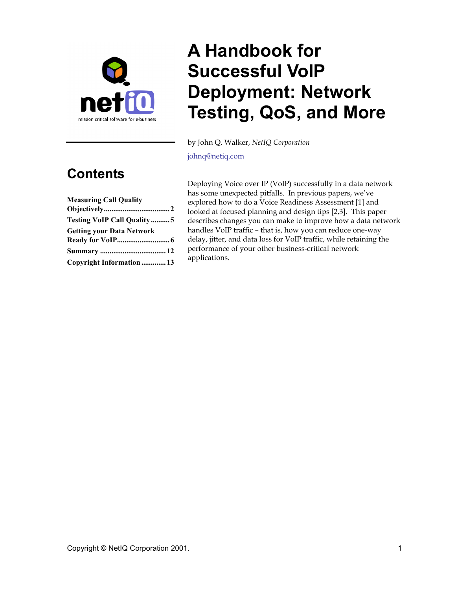

## **Contents**

| <b>Measuring Call Quality</b>     |  |
|-----------------------------------|--|
|                                   |  |
| <b>Testing VoIP Call Quality5</b> |  |
| <b>Getting your Data Network</b>  |  |
|                                   |  |
|                                   |  |
| Copyright Information  13         |  |

# **A Handbook for Successful VoIP Deployment: Network Testing, QoS, and More**

by John Q. Walker, *NetIQ Corporation*

[johnq@netiq.com](mailto:johnq@netiq.com)

Deploying Voice over IP (VoIP) successfully in a data network has some unexpected pitfalls. In previous papers, we've explored how to do a Voice Readiness Assessment [1] and looked at focused planning and design tips [2,3]. This paper describes changes you can make to improve how a data network handles VoIP traffic – that is, how you can reduce one-way delay, jitter, and data loss for VoIP traffic, while retaining the performance of your other business-critical network applications.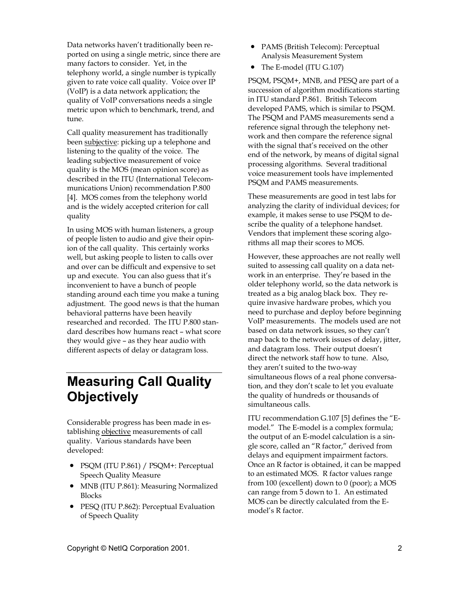<span id="page-1-0"></span>Data networks haven't traditionally been reported on using a single metric, since there are many factors to consider. Yet, in the telephony world, a single number is typically given to rate voice call quality. Voice over IP (VoIP) is a data network application; the quality of VoIP conversations needs a single metric upon which to benchmark, trend, and tune.

Call quality measurement has traditionally been subjective: picking up a telephone and listening to the quality of the voice. The leading subjective measurement of voice quality is the MOS (mean opinion score) as described in the ITU (International Telecommunications Union) recommendation P.800 [4]. MOS comes from the telephony world and is the widely accepted criterion for call quality

In using MOS with human listeners, a group of people listen to audio and give their opinion of the call quality. This certainly works well, but asking people to listen to calls over and over can be difficult and expensive to set up and execute. You can also guess that it's inconvenient to have a bunch of people standing around each time you make a tuning adjustment. The good news is that the human behavioral patterns have been heavily researched and recorded. The ITU P.800 standard describes how humans react – what score they would give – as they hear audio with different aspects of delay or datagram loss.

## **Measuring Call Quality Objectively**

Considerable progress has been made in establishing objective measurements of call quality. Various standards have been developed:

- PSQM (ITU P.861) / PSQM+: Perceptual Speech Quality Measure
- MNB (ITU P.861): Measuring Normalized Blocks
- PESQ (ITU P.862): Perceptual Evaluation of Speech Quality
- PAMS (British Telecom): Perceptual Analysis Measurement System
- The E-model (ITU G.107)

PSQM, PSQM+, MNB, and PESQ are part of a succession of algorithm modifications starting in ITU standard P.861. British Telecom developed PAMS, which is similar to PSQM. The PSQM and PAMS measurements send a reference signal through the telephony network and then compare the reference signal with the signal that's received on the other end of the network, by means of digital signal processing algorithms. Several traditional voice measurement tools have implemented PSQM and PAMS measurements.

These measurements are good in test labs for analyzing the clarity of individual devices; for example, it makes sense to use PSQM to describe the quality of a telephone handset. Vendors that implement these scoring algorithms all map their scores to MOS.

However, these approaches are not really well suited to assessing call quality on a data network in an enterprise. They're based in the older telephony world, so the data network is treated as a big analog black box. They require invasive hardware probes, which you need to purchase and deploy before beginning VoIP measurements. The models used are not based on data network issues, so they can't map back to the network issues of delay, jitter, and datagram loss. Their output doesn't direct the network staff how to tune. Also, they aren't suited to the two-way simultaneous flows of a real phone conversation, and they don't scale to let you evaluate the quality of hundreds or thousands of simultaneous calls.

ITU recommendation G.107 [5] defines the "Emodel." The E-model is a complex formula; the output of an E-model calculation is a single score, called an "R factor," derived from delays and equipment impairment factors. Once an R factor is obtained, it can be mapped to an estimated MOS. R factor values range from 100 (excellent) down to 0 (poor); a MOS can range from 5 down to 1. An estimated MOS can be directly calculated from the Emodel's R factor.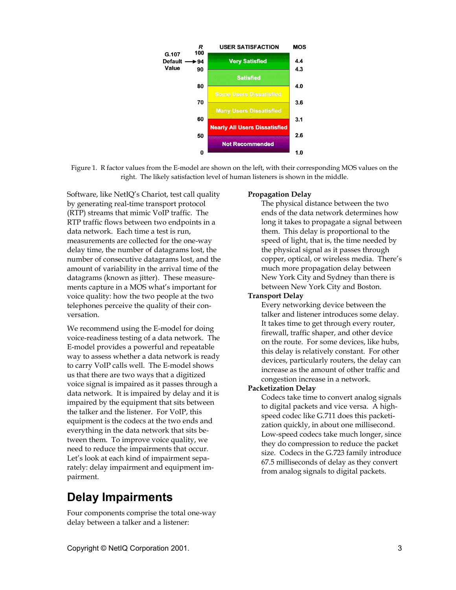

Figure 1. R factor values from the E-model are shown on the left, with their corresponding MOS values on the right. The likely satisfaction level of human listeners is shown in the middle.

Software, like NetIQ's Chariot, test call quality by generating real-time transport protocol (RTP) streams that mimic VoIP traffic. The RTP traffic flows between two endpoints in a data network. Each time a test is run, measurements are collected for the one-way delay time, the number of datagrams lost, the number of consecutive datagrams lost, and the amount of variability in the arrival time of the datagrams (known as jitter). These measurements capture in a MOS what's important for voice quality: how the two people at the two telephones perceive the quality of their conversation.

We recommend using the E-model for doing voice-readiness testing of a data network. The E-model provides a powerful and repeatable way to assess whether a data network is ready to carry VoIP calls well. The E-model shows us that there are two ways that a digitized voice signal is impaired as it passes through a data network. It is impaired by delay and it is impaired by the equipment that sits between the talker and the listener. For VoIP, this equipment is the codecs at the two ends and everything in the data network that sits between them. To improve voice quality, we need to reduce the impairments that occur. Let's look at each kind of impairment separately: delay impairment and equipment impairment.

### **Delay Impairments**

Four components comprise the total one-way delay between a talker and a listener:

#### **Propagation Delay**

The physical distance between the two ends of the data network determines how long it takes to propagate a signal between them. This delay is proportional to the speed of light, that is, the time needed by the physical signal as it passes through copper, optical, or wireless media. There's much more propagation delay between New York City and Sydney than there is between New York City and Boston.

#### **Transport Delay**

Every networking device between the talker and listener introduces some delay. It takes time to get through every router, firewall, traffic shaper, and other device on the route. For some devices, like hubs, this delay is relatively constant. For other devices, particularly routers, the delay can increase as the amount of other traffic and congestion increase in a network.

#### **Packetization Delay**

Codecs take time to convert analog signals to digital packets and vice versa. A highspeed codec like G.711 does this packetization quickly, in about one millisecond. Low-speed codecs take much longer, since they do compression to reduce the packet size. Codecs in the G.723 family introduce 67.5 milliseconds of delay as they convert from analog signals to digital packets.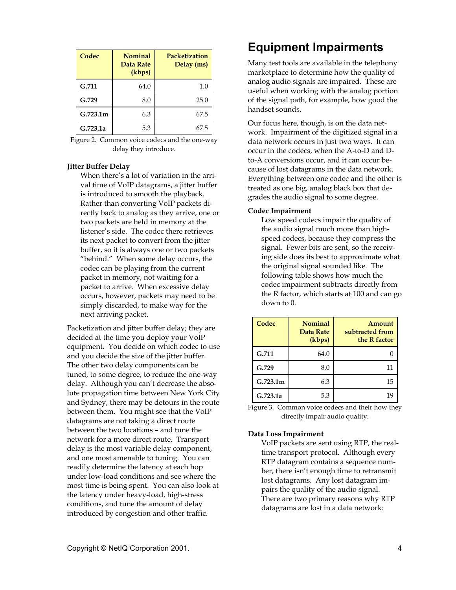| Codec    | <b>Nominal</b><br>Data Rate<br>(kbps) | Packetization<br>Delay (ms) |
|----------|---------------------------------------|-----------------------------|
| G.711    | 64.0                                  | $1.0\,$                     |
| G.729    | 8.0                                   | 25.0                        |
| G.723.1m | 6.3                                   | 67.5                        |
| G.723.1a | 5.3                                   | 67.5                        |

Figure 2. Common voice codecs and the one-way delay they introduce.

#### **Jitter Buffer Delay**

When there's a lot of variation in the arrival time of VoIP datagrams, a jitter buffer is introduced to smooth the playback. Rather than converting VoIP packets directly back to analog as they arrive, one or two packets are held in memory at the listener's side. The codec there retrieves its next packet to convert from the jitter buffer, so it is always one or two packets "behind." When some delay occurs, the codec can be playing from the current packet in memory, not waiting for a packet to arrive. When excessive delay occurs, however, packets may need to be simply discarded, to make way for the next arriving packet.

Packetization and jitter buffer delay; they are decided at the time you deploy your VoIP equipment. You decide on which codec to use and you decide the size of the jitter buffer. The other two delay components can be tuned, to some degree, to reduce the one-way delay. Although you can't decrease the absolute propagation time between New York City and Sydney, there may be detours in the route between them. You might see that the VoIP datagrams are not taking a direct route between the two locations – and tune the network for a more direct route. Transport delay is the most variable delay component, and one most amenable to tuning. You can readily determine the latency at each hop under low-load conditions and see where the most time is being spent. You can also look at the latency under heavy-load, high-stress conditions, and tune the amount of delay introduced by congestion and other traffic.

#### Copyright © NetIQ Corporation 2001. 4

## **Equipment Impairments**

Many test tools are available in the telephony marketplace to determine how the quality of analog audio signals are impaired. These are useful when working with the analog portion of the signal path, for example, how good the handset sounds.

Our focus here, though, is on the data network. Impairment of the digitized signal in a data network occurs in just two ways. It can occur in the codecs, when the A-to-D and Dto-A conversions occur, and it can occur because of lost datagrams in the data network. Everything between one codec and the other is treated as one big, analog black box that degrades the audio signal to some degree.

#### **Codec Impairment**

Low speed codecs impair the quality of the audio signal much more than highspeed codecs, because they compress the signal. Fewer bits are sent, so the receiving side does its best to approximate what the original signal sounded like. The following table shows how much the codec impairment subtracts directly from the R factor, which starts at 100 and can go down to 0.

| Codec    | <b>Nominal</b><br>Data Rate<br>(kbps) | Amount<br>subtracted from<br>the R factor |
|----------|---------------------------------------|-------------------------------------------|
| G.711    | 64.0                                  |                                           |
| G.729    | 8.0                                   | 11                                        |
| G.723.1m | 6.3                                   | 15                                        |
| G.723.1a | 5.3                                   | 19                                        |

Figure 3. Common voice codecs and their how they directly impair audio quality.

#### **Data Loss Impairment**

VoIP packets are sent using RTP, the realtime transport protocol. Although every RTP datagram contains a sequence number, there isn't enough time to retransmit lost datagrams. Any lost datagram impairs the quality of the audio signal. There are two primary reasons why RTP datagrams are lost in a data network: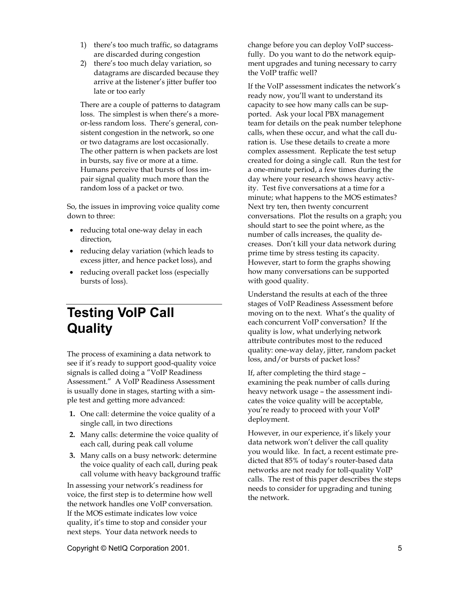- <span id="page-4-0"></span>1) there's too much traffic, so datagrams are discarded during congestion
- 2) there's too much delay variation, so datagrams are discarded because they arrive at the listener's jitter buffer too late or too early

There are a couple of patterns to datagram loss. The simplest is when there's a moreor-less random loss. There's general, consistent congestion in the network, so one or two datagrams are lost occasionally. The other pattern is when packets are lost in bursts, say five or more at a time. Humans perceive that bursts of loss impair signal quality much more than the random loss of a packet or two.

So, the issues in improving voice quality come down to three:

- reducing total one-way delay in each direction,
- reducing delay variation (which leads to excess jitter, and hence packet loss), and
- reducing overall packet loss (especially bursts of loss).

## **Testing VoIP Call Quality**

The process of examining a data network to see if it's ready to support good-quality voice signals is called doing a "VoIP Readiness Assessment." A VoIP Readiness Assessment is usually done in stages, starting with a simple test and getting more advanced:

- **1.** One call: determine the voice quality of a single call, in two directions
- **2.** Many calls: determine the voice quality of each call, during peak call volume
- **3.** Many calls on a busy network: determine the voice quality of each call, during peak call volume with heavy background traffic

In assessing your network's readiness for voice, the first step is to determine how well the network handles one VoIP conversation. If the MOS estimate indicates low voice quality, it's time to stop and consider your next steps. Your data network needs to

change before you can deploy VoIP successfully. Do you want to do the network equipment upgrades and tuning necessary to carry the VoIP traffic well?

If the VoIP assessment indicates the network's ready now, you'll want to understand its capacity to see how many calls can be supported. Ask your local PBX management team for details on the peak number telephone calls, when these occur, and what the call duration is. Use these details to create a more complex assessment. Replicate the test setup created for doing a single call. Run the test for a one-minute period, a few times during the day where your research shows heavy activity. Test five conversations at a time for a minute; what happens to the MOS estimates? Next try ten, then twenty concurrent conversations. Plot the results on a graph; you should start to see the point where, as the number of calls increases, the quality decreases. Don't kill your data network during prime time by stress testing its capacity. However, start to form the graphs showing how many conversations can be supported with good quality.

Understand the results at each of the three stages of VoIP Readiness Assessment before moving on to the next. What's the quality of each concurrent VoIP conversation? If the quality is low, what underlying network attribute contributes most to the reduced quality: one-way delay, jitter, random packet loss, and/or bursts of packet loss?

If, after completing the third stage – examining the peak number of calls during heavy network usage – the assessment indicates the voice quality will be acceptable, you're ready to proceed with your VoIP deployment.

However, in our experience, it's likely your data network won't deliver the call quality you would like. In fact, a recent estimate predicted that 85% of today's router-based data networks are not ready for toll-quality VoIP calls. The rest of this paper describes the steps needs to consider for upgrading and tuning the network.

Copyright © NetIQ Corporation 2001. 5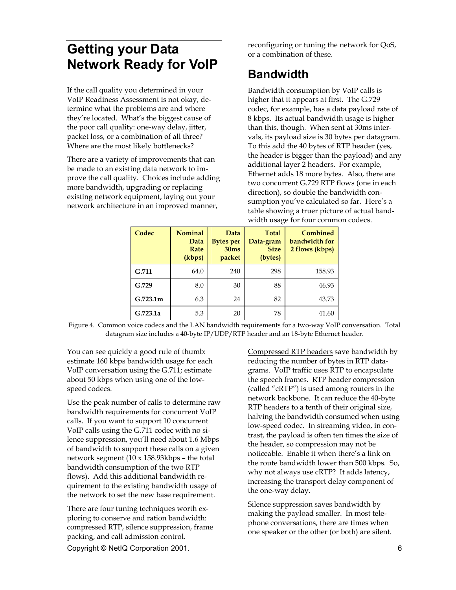## <span id="page-5-0"></span>**Getting your Data Network Ready for VoIP**

If the call quality you determined in your VoIP Readiness Assessment is not okay, determine what the problems are and where they're located. What's the biggest cause of the poor call quality: one-way delay, jitter, packet loss, or a combination of all three? Where are the most likely bottlenecks?

There are a variety of improvements that can be made to an existing data network to improve the call quality. Choices include adding more bandwidth, upgrading or replacing existing network equipment, laying out your network architecture in an improved manner,

reconfiguring or tuning the network for QoS, or a combination of these.

### **Bandwidth**

Bandwidth consumption by VoIP calls is higher that it appears at first. The G.729 codec, for example, has a data payload rate of 8 kbps. Its actual bandwidth usage is higher than this, though. When sent at 30ms intervals, its payload size is 30 bytes per datagram. To this add the 40 bytes of RTP header (yes, the header is bigger than the payload) and any additional layer 2 headers. For example, Ethernet adds 18 more bytes. Also, there are two concurrent G.729 RTP flows (one in each direction), so double the bandwidth consumption you've calculated so far. Here's a table showing a truer picture of actual bandwidth usage for four common codecs.

| Codec    | <b>Nominal</b><br>Data<br>Rate<br>(kbps) | Data<br><b>Bytes per</b><br>30 <sub>ms</sub><br>packet | <b>Total</b><br>Data-gram<br><b>Size</b><br>(bytes) | Combined<br>bandwidth for<br>2 flows (kbps) |
|----------|------------------------------------------|--------------------------------------------------------|-----------------------------------------------------|---------------------------------------------|
| G.711    | 64.0                                     | 240                                                    | 298                                                 | 158.93                                      |
| G.729    | 8.0                                      | 30                                                     | 88                                                  | 46.93                                       |
| G.723.1m | 6.3                                      | 24                                                     | 82                                                  | 43.73                                       |
| G.723.1a | 5.3                                      | 20                                                     | 78                                                  | 41.60                                       |

Figure 4. Common voice codecs and the LAN bandwidth requirements for a two-way VoIP conversation. Total datagram size includes a 40-byte IP/UDP/RTP header and an 18-byte Ethernet header.

You can see quickly a good rule of thumb: estimate 160 kbps bandwidth usage for each VoIP conversation using the G.711; estimate about 50 kbps when using one of the lowspeed codecs.

Use the peak number of calls to determine raw bandwidth requirements for concurrent VoIP calls. If you want to support 10 concurrent VoIP calls using the G.711 codec with no silence suppression, you'll need about 1.6 Mbps of bandwidth to support these calls on a given network segment (10 x 158.93kbps – the total bandwidth consumption of the two RTP flows). Add this additional bandwidth requirement to the existing bandwidth usage of the network to set the new base requirement.

There are four tuning techniques worth exploring to conserve and ration bandwidth: compressed RTP, silence suppression, frame packing, and call admission control.

Compressed RTP headers save bandwidth by reducing the number of bytes in RTP datagrams. VoIP traffic uses RTP to encapsulate the speech frames. RTP header compression (called "cRTP") is used among routers in the network backbone. It can reduce the 40-byte RTP headers to a tenth of their original size, halving the bandwidth consumed when using low-speed codec. In streaming video, in contrast, the payload is often ten times the size of the header, so compression may not be noticeable. Enable it when there's a link on the route bandwidth lower than 500 kbps. So, why not always use cRTP? It adds latency, increasing the transport delay component of the one-way delay.

Silence suppression saves bandwidth by making the payload smaller. In most telephone conversations, there are times when one speaker or the other (or both) are silent.

Copyright © NetIQ Corporation 2001. 6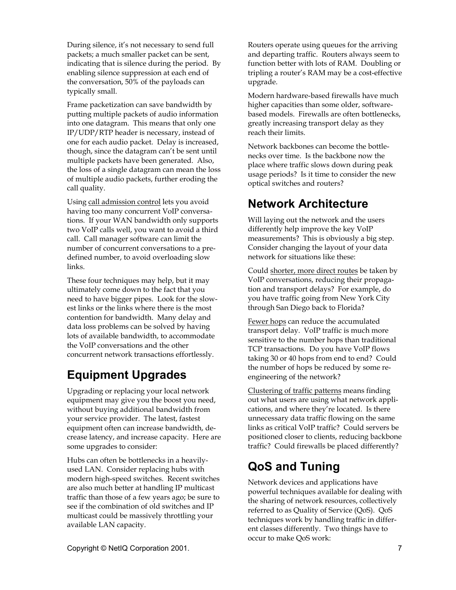During silence, it's not necessary to send full packets; a much smaller packet can be sent, indicating that is silence during the period. By enabling silence suppression at each end of the conversation, 50% of the payloads can typically small.

Frame packetization can save bandwidth by putting multiple packets of audio information into one datagram. This means that only one IP/UDP/RTP header is necessary, instead of one for each audio packet. Delay is increased, though, since the datagram can't be sent until multiple packets have been generated. Also, the loss of a single datagram can mean the loss of multiple audio packets, further eroding the call quality.

Using call admission control lets you avoid having too many concurrent VoIP conversations. If your WAN bandwidth only supports two VoIP calls well, you want to avoid a third call. Call manager software can limit the number of concurrent conversations to a predefined number, to avoid overloading slow links.

These four techniques may help, but it may ultimately come down to the fact that you need to have bigger pipes. Look for the slowest links or the links where there is the most contention for bandwidth. Many delay and data loss problems can be solved by having lots of available bandwidth, to accommodate the VoIP conversations and the other concurrent network transactions effortlessly.

## **Equipment Upgrades**

Upgrading or replacing your local network equipment may give you the boost you need, without buying additional bandwidth from your service provider. The latest, fastest equipment often can increase bandwidth, decrease latency, and increase capacity. Here are some upgrades to consider:

Hubs can often be bottlenecks in a heavilyused LAN. Consider replacing hubs with modern high-speed switches. Recent switches are also much better at handling IP multicast traffic than those of a few years ago; be sure to see if the combination of old switches and IP multicast could be massively throttling your available LAN capacity.

Routers operate using queues for the arriving and departing traffic. Routers always seem to function better with lots of RAM. Doubling or tripling a router's RAM may be a cost-effective upgrade.

Modern hardware-based firewalls have much higher capacities than some older, softwarebased models. Firewalls are often bottlenecks, greatly increasing transport delay as they reach their limits.

Network backbones can become the bottlenecks over time. Is the backbone now the place where traffic slows down during peak usage periods? Is it time to consider the new optical switches and routers?

## **Network Architecture**

Will laying out the network and the users differently help improve the key VoIP measurements? This is obviously a big step. Consider changing the layout of your data network for situations like these:

Could shorter, more direct routes be taken by VoIP conversations, reducing their propagation and transport delays? For example, do you have traffic going from New York City through San Diego back to Florida?

Fewer hops can reduce the accumulated transport delay. VoIP traffic is much more sensitive to the number hops than traditional TCP transactions. Do you have VoIP flows taking 30 or 40 hops from end to end? Could the number of hops be reduced by some reengineering of the network?

Clustering of traffic patterns means finding out what users are using what network applications, and where they're located. Is there unnecessary data traffic flowing on the same links as critical VoIP traffic? Could servers be positioned closer to clients, reducing backbone traffic? Could firewalls be placed differently?

## **QoS and Tuning**

Network devices and applications have powerful techniques available for dealing with the sharing of network resources, collectively referred to as Quality of Service (QoS). QoS techniques work by handling traffic in different classes differently. Two things have to occur to make QoS work: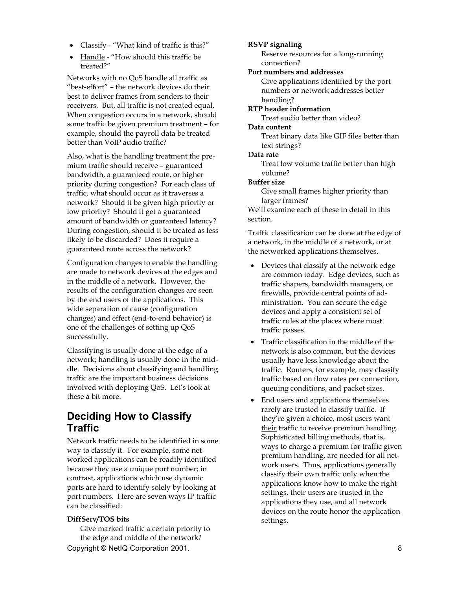- Classify "What kind of traffic is this?"
- Handle "How should this traffic be treated?"

Networks with no QoS handle all traffic as "best-effort" – the network devices do their best to deliver frames from senders to their receivers. But, all traffic is not created equal. When congestion occurs in a network, should some traffic be given premium treatment – for example, should the payroll data be treated better than VoIP audio traffic?

Also, what is the handling treatment the premium traffic should receive – guaranteed bandwidth, a guaranteed route, or higher priority during congestion? For each class of traffic, what should occur as it traverses a network? Should it be given high priority or low priority? Should it get a guaranteed amount of bandwidth or guaranteed latency? During congestion, should it be treated as less likely to be discarded? Does it require a guaranteed route across the network?

Configuration changes to enable the handling are made to network devices at the edges and in the middle of a network. However, the results of the configuration changes are seen by the end users of the applications. This wide separation of cause (configuration changes) and effect (end-to-end behavior) is one of the challenges of setting up QoS successfully.

Classifying is usually done at the edge of a network; handling is usually done in the middle. Decisions about classifying and handling traffic are the important business decisions involved with deploying QoS. Let's look at these a bit more.

### **Deciding How to Classify Traffic**

Network traffic needs to be identified in some way to classify it. For example, some networked applications can be readily identified because they use a unique port number; in contrast, applications which use dynamic ports are hard to identify solely by looking at port numbers. Here are seven ways IP traffic can be classified:

#### **DiffServ/TOS bits**

Copyright © NetIQ Corporation 2001. **8** 8 Give marked traffic a certain priority to the edge and middle of the network?

#### **RSVP signaling**

Reserve resources for a long-running connection?

#### **Port numbers and addresses**

Give applications identified by the port numbers or network addresses better handling?

**RTP header information** 

Treat audio better than video?

#### **Data content**

Treat binary data like GIF files better than text strings?

#### **Data rate**

Treat low volume traffic better than high volume?

#### **Buffer size**

Give small frames higher priority than larger frames?

We'll examine each of these in detail in this section.

Traffic classification can be done at the edge of a network, in the middle of a network, or at the networked applications themselves.

- Devices that classify at the network edge are common today. Edge devices, such as traffic shapers, bandwidth managers, or firewalls, provide central points of administration. You can secure the edge devices and apply a consistent set of traffic rules at the places where most traffic passes.
- Traffic classification in the middle of the network is also common, but the devices usually have less knowledge about the traffic. Routers, for example, may classify traffic based on flow rates per connection, queuing conditions, and packet sizes.
- End users and applications themselves rarely are trusted to classify traffic. If they're given a choice, most users want their traffic to receive premium handling. Sophisticated billing methods, that is, ways to charge a premium for traffic given premium handling, are needed for all network users. Thus, applications generally classify their own traffic only when the applications know how to make the right settings, their users are trusted in the applications they use, and all network devices on the route honor the application settings.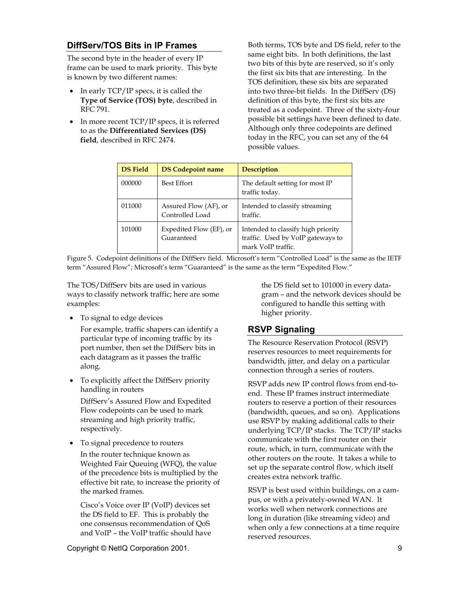### **DiffServ/TOS Bits in IP Frames**

The second byte in the header of every IP frame can be used to mark priority. This byte is known by two different names:

- In early TCP/IP specs, it is called the **Type of Service (TOS) byte**, described in RFC 791.
- In more recent TCP/IP specs, it is referred to as the **Differentiated Services (DS) field**, described in RFC 2474.

Both terms, TOS byte and DS field, refer to the same eight bits. In both definitions, the last two bits of this byte are reserved, so it's only the first six bits that are interesting. In the TOS definition, these six bits are separated into two three-bit fields. In the DiffServ (DS) definition of this byte, the first six bits are treated as a codepoint. Three of the sixty-four possible bit settings have been defined to date. Although only three codepoints are defined today in the RFC, you can set any of the 64 possible values.

| <b>DS</b> Field | <b>DS Codepoint name</b>                 | <b>Description</b>                                                                            |
|-----------------|------------------------------------------|-----------------------------------------------------------------------------------------------|
| 000000          | <b>Best Effort</b>                       | The default setting for most IP<br>traffic today.                                             |
| 011000          | Assured Flow (AF), or<br>Controlled Load | Intended to classify streaming<br>traffic.                                                    |
| 101000          | Expedited Flow (EF), or<br>Guaranteed    | Intended to classify high priority<br>traffic. Used by VoIP gateways to<br>mark VoIP traffic. |

Figure 5. Codepoint definitions of the DiffServ field. Microsoft's term "Controlled Load" is the same as the IETF term "Assured Flow"; Microsoft's term "Guaranteed" is the same as the term "Expedited Flow."

The TOS/DiffServ bits are used in various ways to classify network traffic; here are some examples:

• To signal to edge devices

For example, traffic shapers can identify a particular type of incoming traffic by its port number, then set the DiffServ bits in each datagram as it passes the traffic along.

• To explicitly affect the DiffServ priority handling in routers DiffServ's Assured Flow and Expedited Flow codepoints can be used to mark streaming and high priority traffic,

respectively.

• To signal precedence to routers

In the router technique known as Weighted Fair Queuing (WFQ), the value of the precedence bits is multiplied by the effective bit rate, to increase the priority of the marked frames.

Cisco's Voice over IP (VoIP) devices set the DS field to EF. This is probably the one consensus recommendation of QoS and VoIP – the VoIP traffic should have the DS field set to 101000 in every datagram – and the network devices should be configured to handle this setting with higher priority.

### **RSVP Signaling**

The Resource Reservation Protocol (RSVP) reserves resources to meet requirements for bandwidth, jitter, and delay on a particular connection through a series of routers.

RSVP adds new IP control flows from end-toend. These IP frames instruct intermediate routers to reserve a portion of their resources (bandwidth, queues, and so on). Applications use RSVP by making additional calls to their underlying TCP/IP stacks. The TCP/IP stacks communicate with the first router on their route, which, in turn, communicate with the other routers on the route. It takes a while to set up the separate control flow, which itself creates extra network traffic.

RSVP is best used within buildings, on a campus, or with a privately-owned WAN. It works well when network connections are long in duration (like streaming video) and when only a few connections at a time require reserved resources.

Copyright © NetIQ Corporation 2001. 9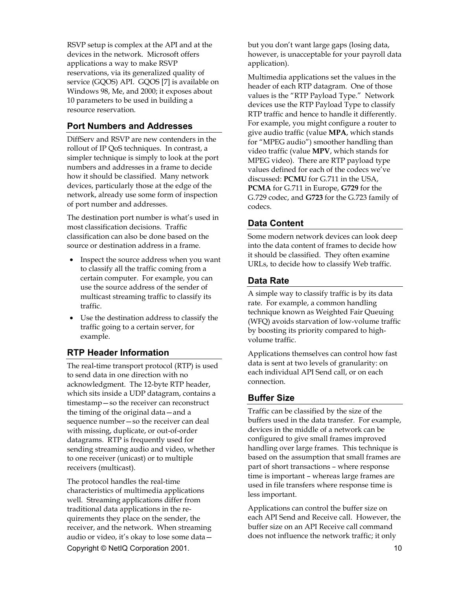RSVP setup is complex at the API and at the devices in the network. Microsoft offers applications a way to make RSVP reservations, via its generalized quality of service (GQOS) API. GQOS [7] is available on Windows 98, Me, and 2000; it exposes about 10 parameters to be used in building a resource reservation.

### **Port Numbers and Addresses**

DiffServ and RSVP are new contenders in the rollout of IP QoS techniques. In contrast, a simpler technique is simply to look at the port numbers and addresses in a frame to decide how it should be classified. Many network devices, particularly those at the edge of the network, already use some form of inspection of port number and addresses.

The destination port number is what's used in most classification decisions. Traffic classification can also be done based on the source or destination address in a frame.

- Inspect the source address when you want to classify all the traffic coming from a certain computer. For example, you can use the source address of the sender of multicast streaming traffic to classify its traffic.
- Use the destination address to classify the traffic going to a certain server, for example.

### **RTP Header Information**

The real-time transport protocol (RTP) is used to send data in one direction with no acknowledgment. The 12-byte RTP header, which sits inside a UDP datagram, contains a timestamp—so the receiver can reconstruct the timing of the original data—and a sequence number—so the receiver can deal with missing, duplicate, or out-of-order datagrams. RTP is frequently used for sending streaming audio and video, whether to one receiver (unicast) or to multiple receivers (multicast).

Copyright © NetIQ Corporation 2001. 10 The protocol handles the real-time characteristics of multimedia applications well. Streaming applications differ from traditional data applications in the requirements they place on the sender, the receiver, and the network. When streaming audio or video, it's okay to lose some data—

but you don't want large gaps (losing data, however, is unacceptable for your payroll data application).

Multimedia applications set the values in the header of each RTP datagram. One of those values is the "RTP Payload Type." Network devices use the RTP Payload Type to classify RTP traffic and hence to handle it differently. For example, you might configure a router to give audio traffic (value **MPA**, which stands for "MPEG audio") smoother handling than video traffic (value **MPV**, which stands for MPEG video). There are RTP payload type values defined for each of the codecs we've discussed: **PCMU** for G.711 in the USA, **PCMA** for G.711 in Europe, **G729** for the G.729 codec, and **G723** for the G.723 family of codecs.

### **Data Content**

Some modern network devices can look deep into the data content of frames to decide how it should be classified. They often examine URLs, to decide how to classify Web traffic.

### **Data Rate**

A simple way to classify traffic is by its data rate. For example, a common handling technique known as Weighted Fair Queuing (WFQ) avoids starvation of low-volume traffic by boosting its priority compared to highvolume traffic.

Applications themselves can control how fast data is sent at two levels of granularity: on each individual API Send call, or on each connection.

### **Buffer Size**

Traffic can be classified by the size of the buffers used in the data transfer. For example, devices in the middle of a network can be configured to give small frames improved handling over large frames. This technique is based on the assumption that small frames are part of short transactions – where response time is important – whereas large frames are used in file transfers where response time is less important.

Applications can control the buffer size on each API Send and Receive call. However, the buffer size on an API Receive call command does not influence the network traffic; it only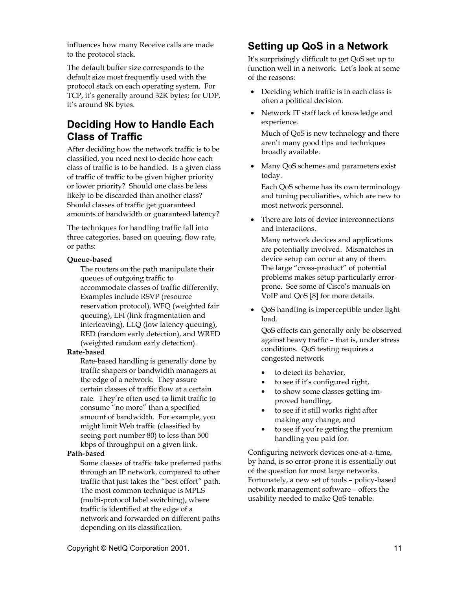influences how many Receive calls are made to the protocol stack.

The default buffer size corresponds to the default size most frequently used with the protocol stack on each operating system. For TCP, it's generally around 32K bytes; for UDP, it's around 8K bytes.

### **Deciding How to Handle Each Class of Traffic**

After deciding how the network traffic is to be classified, you need next to decide how each class of traffic is to be handled. Is a given class of traffic of traffic to be given higher priority or lower priority? Should one class be less likely to be discarded than another class? Should classes of traffic get guaranteed amounts of bandwidth or guaranteed latency?

The techniques for handling traffic fall into three categories, based on queuing, flow rate, or paths:

#### **Queue-based**

The routers on the path manipulate their queues of outgoing traffic to accommodate classes of traffic differently. Examples include RSVP (resource reservation protocol), WFQ (weighted fair queuing), LFI (link fragmentation and interleaving), LLQ (low latency queuing), RED (random early detection), and WRED (weighted random early detection).

#### **Rate-based**

Rate-based handling is generally done by traffic shapers or bandwidth managers at the edge of a network. They assure certain classes of traffic flow at a certain rate. They're often used to limit traffic to consume "no more" than a specified amount of bandwidth. For example, you might limit Web traffic (classified by seeing port number 80) to less than 500 kbps of throughput on a given link.

#### **Path-based**

Some classes of traffic take preferred paths through an IP network, compared to other traffic that just takes the "best effort" path. The most common technique is MPLS (multi-protocol label switching), where traffic is identified at the edge of a network and forwarded on different paths depending on its classification.

### **Setting up QoS in a Network**

It's surprisingly difficult to get QoS set up to function well in a network. Let's look at some of the reasons:

- Deciding which traffic is in each class is often a political decision.
- Network IT staff lack of knowledge and experience.

Much of QoS is new technology and there aren't many good tips and techniques broadly available.

• Many QoS schemes and parameters exist today.

Each QoS scheme has its own terminology and tuning peculiarities, which are new to most network personnel.

• There are lots of device interconnections and interactions.

Many network devices and applications are potentially involved. Mismatches in device setup can occur at any of them. The large "cross-product" of potential problems makes setup particularly errorprone. See some of Cisco's manuals on VoIP and QoS [8] for more details.

• QoS handling is imperceptible under light load.

QoS effects can generally only be observed against heavy traffic – that is, under stress conditions. QoS testing requires a congested network

- to detect its behavior,
- to see if it's configured right,
- to show some classes getting improved handling,
- to see if it still works right after making any change, and
- to see if you're getting the premium handling you paid for.

Configuring network devices one-at-a-time, by hand, is so error-prone it is essentially out of the question for most large networks. Fortunately, a new set of tools – policy-based network management software – offers the usability needed to make QoS tenable.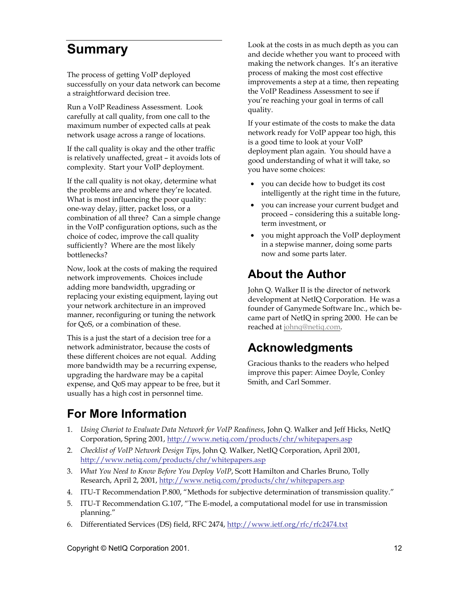## <span id="page-11-0"></span>**Summary**

The process of getting VoIP deployed successfully on your data network can become a straightforward decision tree.

Run a VoIP Readiness Assessment. Look carefully at call quality, from one call to the maximum number of expected calls at peak network usage across a range of locations.

If the call quality is okay and the other traffic is relatively unaffected, great – it avoids lots of complexity. Start your VoIP deployment.

If the call quality is not okay, determine what the problems are and where they're located. What is most influencing the poor quality: one-way delay, jitter, packet loss, or a combination of all three? Can a simple change in the VoIP configuration options, such as the choice of codec, improve the call quality sufficiently? Where are the most likely bottlenecks?

Now, look at the costs of making the required network improvements. Choices include adding more bandwidth, upgrading or replacing your existing equipment, laying out your network architecture in an improved manner, reconfiguring or tuning the network for QoS, or a combination of these.

This is a just the start of a decision tree for a network administrator, because the costs of these different choices are not equal. Adding more bandwidth may be a recurring expense, upgrading the hardware may be a capital expense, and QoS may appear to be free, but it usually has a high cost in personnel time.

Look at the costs in as much depth as you can and decide whether you want to proceed with making the network changes. It's an iterative process of making the most cost effective improvements a step at a time, then repeating the VoIP Readiness Assessment to see if you're reaching your goal in terms of call quality.

If your estimate of the costs to make the data network ready for VoIP appear too high, this is a good time to look at your VoIP deployment plan again. You should have a good understanding of what it will take, so you have some choices:

- you can decide how to budget its cost intelligently at the right time in the future,
- you can increase your current budget and proceed – considering this a suitable longterm investment, or
- you might approach the VoIP deployment in a stepwise manner, doing some parts now and some parts later.

## **About the Author**

John Q. Walker II is the director of network development at NetIQ Corporation. He was a founder of Ganymede Software Inc., which became part of NetIQ in spring 2000. He can be reached at [johnq@netiq.com.](mailto:johnq@netiq.com) 

### **Acknowledgments**

Gracious thanks to the readers who helped improve this paper: Aimee Doyle, Conley Smith, and Carl Sommer.

## **For More Information**

- 1. *Using Chariot to Evaluate Data Network for VoIP Readiness*, John Q. Walker and Jeff Hicks, NetIQ Corporation, Spring 2001, htt[p://www.netiq.com/products/chr/whitepapers.asp](http://www.netiq.com/products/chr/whitepapers.asp)
- 2. *Checklist of VoIP Network Design Tips*, John Q. Walker, NetIQ Corporation, April 2001, h[ttp://www.netiq.com/products/chr/whitepapers.asp](http://www.netiq.com/products/chr/whitepapers.asp)
- 3. *What You Need to Know Before You Deploy VoIP*, Scott Hamilton and Charles Bruno, Tolly Research, April 2, 2001, ht[tp://www.netiq.com/products/chr/whitepapers.asp](http://www.netiq.com/products/chr/whitepapers.asp)
- 4. ITU-T Recommendation P.800, "Methods for subjective determination of transmission quality."
- 5. ITU-T Recommendation G.107, "The E-model, a computational model for use in transmission planning."
- 6. Differentiated Services (DS) field, RFC 2474, ht[tp://www.ietf.org/rfc/rfc2474.txt](http://www.ietf.org/rfc/rfc2474.txt)